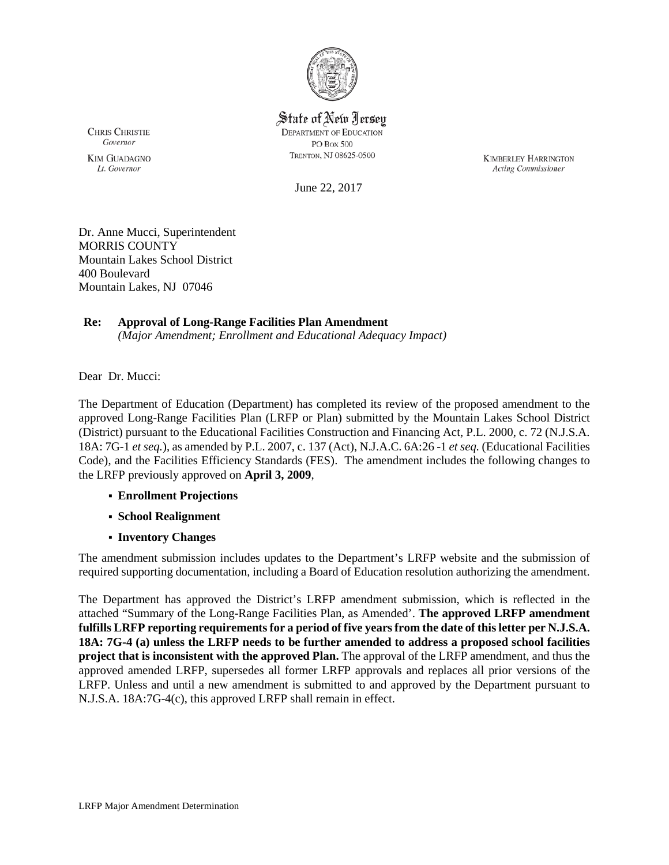

State of New Jersey **DEPARTMENT OF EDUCATION** PO Box 500 TRENTON, NJ 08625-0500

**KIMBERLEY HARRINGTON** Acting Commissioner

June 22, 2017

Dr. Anne Mucci, Superintendent MORRIS COUNTY Mountain Lakes School District 400 Boulevard Mountain Lakes, NJ 07046

# **Re: Approval of Long-Range Facilities Plan Amendment**

*(Major Amendment; Enrollment and Educational Adequacy Impact)*

Dear Dr. Mucci:

The Department of Education (Department) has completed its review of the proposed amendment to the approved Long-Range Facilities Plan (LRFP or Plan) submitted by the Mountain Lakes School District (District) pursuant to the Educational Facilities Construction and Financing Act, P.L. 2000, c. 72 (N.J.S.A. 18A: 7G-1 *et seq.*), as amended by P.L. 2007, c. 137 (Act), N.J.A.C. 6A:26 -1 *et seq.* (Educational Facilities Code), and the Facilities Efficiency Standards (FES). The amendment includes the following changes to the LRFP previously approved on **April 3, 2009**,

- **Enrollment Projections**
- **School Realignment**
- **Inventory Changes**

The amendment submission includes updates to the Department's LRFP website and the submission of required supporting documentation, including a Board of Education resolution authorizing the amendment.

The Department has approved the District's LRFP amendment submission, which is reflected in the attached "Summary of the Long-Range Facilities Plan, as Amended'. **The approved LRFP amendment fulfills LRFP reporting requirements for a period of five years from the date of this letter per N.J.S.A. 18A: 7G-4 (a) unless the LRFP needs to be further amended to address a proposed school facilities project that is inconsistent with the approved Plan.** The approval of the LRFP amendment, and thus the approved amended LRFP, supersedes all former LRFP approvals and replaces all prior versions of the LRFP. Unless and until a new amendment is submitted to and approved by the Department pursuant to N.J.S.A. 18A:7G-4(c), this approved LRFP shall remain in effect.

**CHRIS CHRISTIE** Governor **KIM GUADAGNO** 

Lt. Governor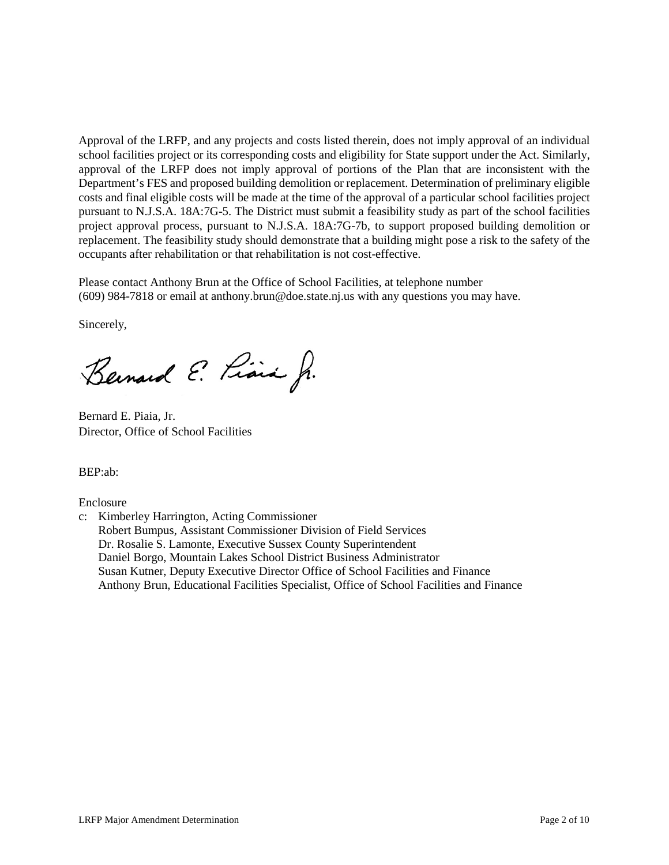Approval of the LRFP, and any projects and costs listed therein, does not imply approval of an individual school facilities project or its corresponding costs and eligibility for State support under the Act. Similarly, approval of the LRFP does not imply approval of portions of the Plan that are inconsistent with the Department's FES and proposed building demolition or replacement. Determination of preliminary eligible costs and final eligible costs will be made at the time of the approval of a particular school facilities project pursuant to N.J.S.A. 18A:7G-5. The District must submit a feasibility study as part of the school facilities project approval process, pursuant to N.J.S.A. 18A:7G-7b, to support proposed building demolition or replacement. The feasibility study should demonstrate that a building might pose a risk to the safety of the occupants after rehabilitation or that rehabilitation is not cost-effective.

Please contact Anthony Brun at the Office of School Facilities, at telephone number (609) 984-7818 or email at anthony.brun@doe.state.nj.us with any questions you may have.

Sincerely,

Bernard E. Piara Jr.

Bernard E. Piaia, Jr. Director, Office of School Facilities

BEP:ab:

Enclosure

c: Kimberley Harrington, Acting Commissioner Robert Bumpus, Assistant Commissioner Division of Field Services Dr. Rosalie S. Lamonte, Executive Sussex County Superintendent Daniel Borgo, Mountain Lakes School District Business Administrator Susan Kutner, Deputy Executive Director Office of School Facilities and Finance Anthony Brun, Educational Facilities Specialist, Office of School Facilities and Finance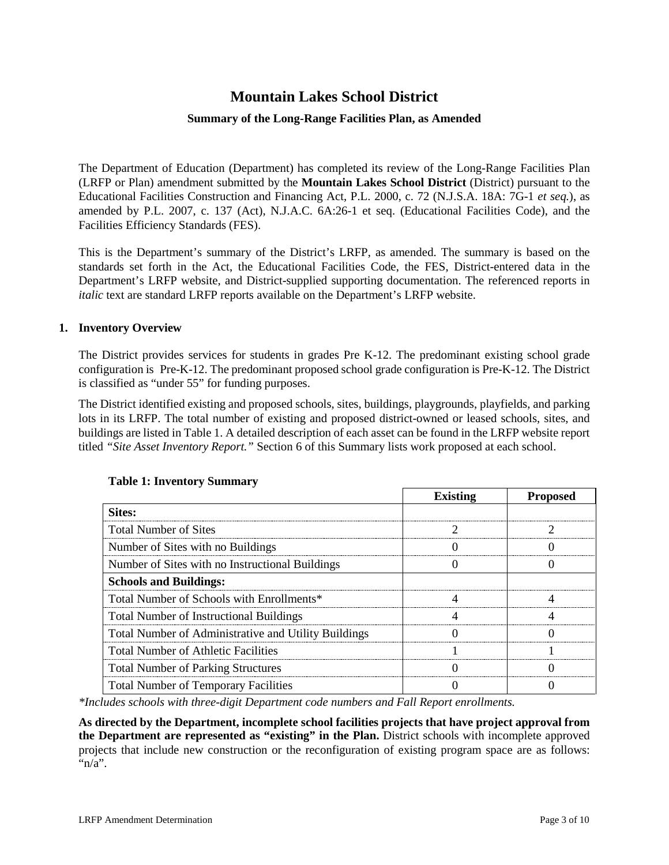# **Mountain Lakes School District**

#### **Summary of the Long-Range Facilities Plan, as Amended**

The Department of Education (Department) has completed its review of the Long-Range Facilities Plan (LRFP or Plan) amendment submitted by the **Mountain Lakes School District** (District) pursuant to the Educational Facilities Construction and Financing Act, P.L. 2000, c. 72 (N.J.S.A. 18A: 7G-1 *et seq.*), as amended by P.L. 2007, c. 137 (Act), N.J.A.C. 6A:26-1 et seq. (Educational Facilities Code), and the Facilities Efficiency Standards (FES).

This is the Department's summary of the District's LRFP, as amended. The summary is based on the standards set forth in the Act, the Educational Facilities Code, the FES, District-entered data in the Department's LRFP website, and District-supplied supporting documentation. The referenced reports in *italic* text are standard LRFP reports available on the Department's LRFP website.

#### **1. Inventory Overview**

The District provides services for students in grades Pre K-12. The predominant existing school grade configuration is Pre-K-12. The predominant proposed school grade configuration is Pre-K-12. The District is classified as "under 55" for funding purposes.

The District identified existing and proposed schools, sites, buildings, playgrounds, playfields, and parking lots in its LRFP. The total number of existing and proposed district-owned or leased schools, sites, and buildings are listed in Table 1. A detailed description of each asset can be found in the LRFP website report titled *"Site Asset Inventory Report."* Section 6 of this Summary lists work proposed at each school.

|                                                      | <b>Existing</b> | <b>Proposed</b> |
|------------------------------------------------------|-----------------|-----------------|
| Sites:                                               |                 |                 |
| <b>Total Number of Sites</b>                         |                 |                 |
| Number of Sites with no Buildings                    |                 |                 |
| Number of Sites with no Instructional Buildings      |                 |                 |
| <b>Schools and Buildings:</b>                        |                 |                 |
| Total Number of Schools with Enrollments*            |                 |                 |
| <b>Total Number of Instructional Buildings</b>       |                 |                 |
| Total Number of Administrative and Utility Buildings |                 |                 |
| <b>Total Number of Athletic Facilities</b>           |                 |                 |
| <b>Total Number of Parking Structures</b>            |                 |                 |
| <b>Total Number of Temporary Facilities</b>          |                 |                 |

#### **Table 1: Inventory Summary**

*\*Includes schools with three-digit Department code numbers and Fall Report enrollments.*

**As directed by the Department, incomplete school facilities projects that have project approval from the Department are represented as "existing" in the Plan.** District schools with incomplete approved projects that include new construction or the reconfiguration of existing program space are as follows: " $n/a$ ".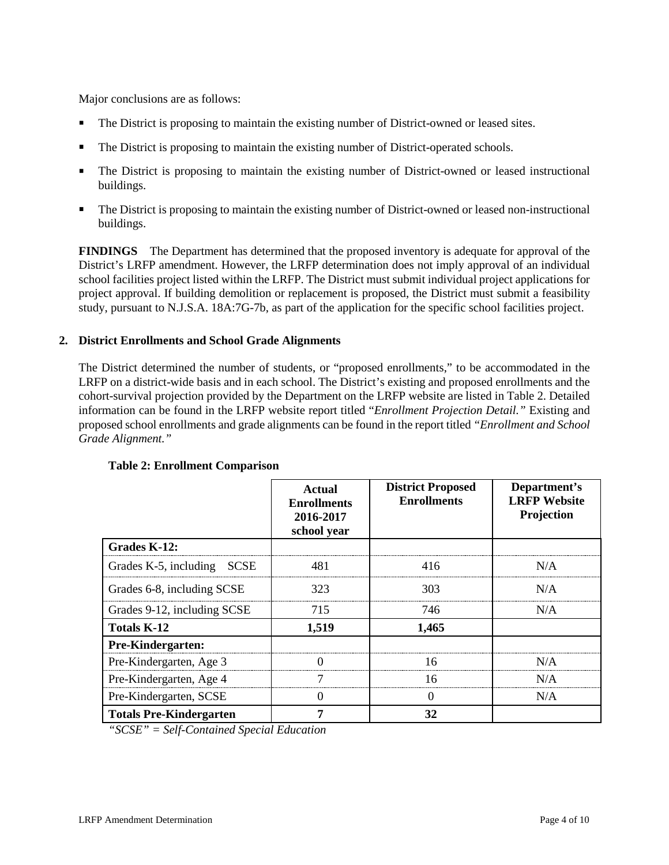Major conclusions are as follows:

- The District is proposing to maintain the existing number of District-owned or leased sites.
- The District is proposing to maintain the existing number of District-operated schools.
- The District is proposing to maintain the existing number of District-owned or leased instructional buildings.
- The District is proposing to maintain the existing number of District-owned or leased non-instructional buildings.

**FINDINGS** The Department has determined that the proposed inventory is adequate for approval of the District's LRFP amendment. However, the LRFP determination does not imply approval of an individual school facilities project listed within the LRFP. The District must submit individual project applications for project approval. If building demolition or replacement is proposed, the District must submit a feasibility study, pursuant to N.J.S.A. 18A:7G-7b, as part of the application for the specific school facilities project.

#### **2. District Enrollments and School Grade Alignments**

The District determined the number of students, or "proposed enrollments," to be accommodated in the LRFP on a district-wide basis and in each school. The District's existing and proposed enrollments and the cohort-survival projection provided by the Department on the LRFP website are listed in Table 2. Detailed information can be found in the LRFP website report titled "*Enrollment Projection Detail."* Existing and proposed school enrollments and grade alignments can be found in the report titled *"Enrollment and School Grade Alignment."*

|                                | Actual<br><b>Enrollments</b><br>2016-2017<br>school year | <b>District Proposed</b><br><b>Enrollments</b> | Department's<br><b>LRFP</b> Website<br>Projection |
|--------------------------------|----------------------------------------------------------|------------------------------------------------|---------------------------------------------------|
| Grades K-12:                   |                                                          |                                                |                                                   |
| Grades K-5, including SCSE     | 481                                                      | 416                                            | N/A                                               |
| Grades 6-8, including SCSE     | 323                                                      | 303                                            | N/A                                               |
| Grades 9-12, including SCSE    | 715                                                      | 746                                            | N/A                                               |
| <b>Totals K-12</b>             | 1,519                                                    | 1,465                                          |                                                   |
| Pre-Kindergarten:              |                                                          |                                                |                                                   |
| Pre-Kindergarten, Age 3        |                                                          | 16                                             | N/A                                               |
| Pre-Kindergarten, Age 4        |                                                          | 16                                             | N/A                                               |
| Pre-Kindergarten, SCSE         | $\mathbf{\Omega}$                                        | N/A<br>$\Omega$                                |                                                   |
| <b>Totals Pre-Kindergarten</b> |                                                          | 32                                             |                                                   |

#### **Table 2: Enrollment Comparison**

*"SCSE" = Self-Contained Special Education*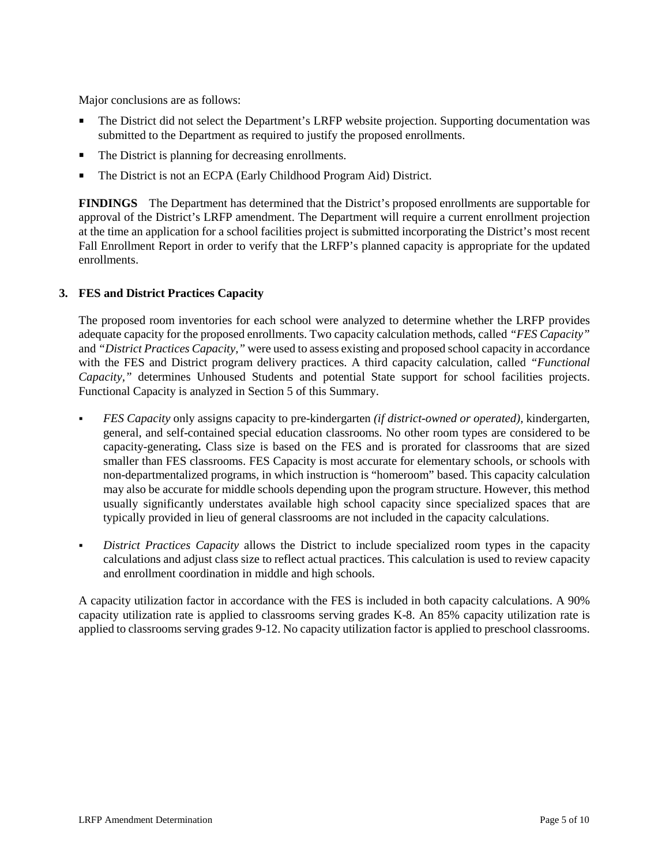Major conclusions are as follows:

- The District did not select the Department's LRFP website projection. Supporting documentation was submitted to the Department as required to justify the proposed enrollments.
- The District is planning for decreasing enrollments.
- The District is not an ECPA (Early Childhood Program Aid) District.

**FINDINGS** The Department has determined that the District's proposed enrollments are supportable for approval of the District's LRFP amendment. The Department will require a current enrollment projection at the time an application for a school facilities project is submitted incorporating the District's most recent Fall Enrollment Report in order to verify that the LRFP's planned capacity is appropriate for the updated enrollments.

#### **3. FES and District Practices Capacity**

The proposed room inventories for each school were analyzed to determine whether the LRFP provides adequate capacity for the proposed enrollments. Two capacity calculation methods, called *"FES Capacity"* and *"District Practices Capacity,"* were used to assess existing and proposed school capacity in accordance with the FES and District program delivery practices. A third capacity calculation, called *"Functional Capacity,"* determines Unhoused Students and potential State support for school facilities projects. Functional Capacity is analyzed in Section 5 of this Summary.

- *FES Capacity* only assigns capacity to pre-kindergarten *(if district-owned or operated),* kindergarten, general, and self-contained special education classrooms. No other room types are considered to be capacity-generating**.** Class size is based on the FES and is prorated for classrooms that are sized smaller than FES classrooms. FES Capacity is most accurate for elementary schools, or schools with non-departmentalized programs, in which instruction is "homeroom" based. This capacity calculation may also be accurate for middle schools depending upon the program structure. However, this method usually significantly understates available high school capacity since specialized spaces that are typically provided in lieu of general classrooms are not included in the capacity calculations.
- *District Practices Capacity* allows the District to include specialized room types in the capacity calculations and adjust class size to reflect actual practices. This calculation is used to review capacity and enrollment coordination in middle and high schools.

A capacity utilization factor in accordance with the FES is included in both capacity calculations. A 90% capacity utilization rate is applied to classrooms serving grades K-8. An 85% capacity utilization rate is applied to classrooms serving grades 9-12. No capacity utilization factor is applied to preschool classrooms.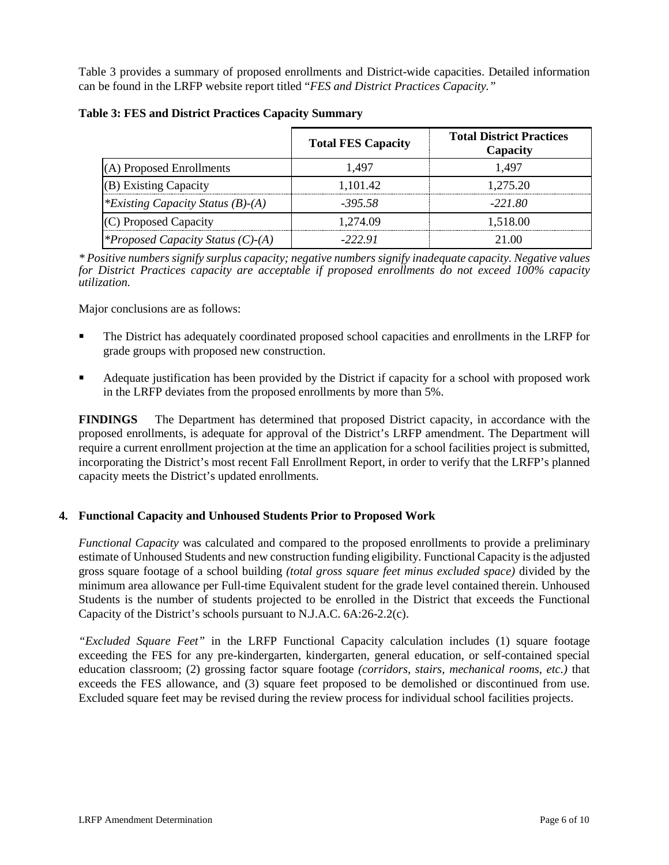Table 3 provides a summary of proposed enrollments and District-wide capacities. Detailed information can be found in the LRFP website report titled "*FES and District Practices Capacity."*

|                                          | <b>Total FES Capacity</b> | <b>Total District Practices</b><br>Capacity |
|------------------------------------------|---------------------------|---------------------------------------------|
| (A) Proposed Enrollments                 | 1.497                     | 1.497                                       |
| (B) Existing Capacity                    | 1,101.42                  | 1,275.20                                    |
| <i>*Existing Capacity Status (B)-(A)</i> | $-395.58$                 | $-221.80$                                   |
| (C) Proposed Capacity                    | 1.274.09                  | 1.518.00                                    |
| <i>*Proposed Capacity Status (C)-(A)</i> | -222.91                   | 21.00                                       |

#### **Table 3: FES and District Practices Capacity Summary**

*\* Positive numbers signify surplus capacity; negative numbers signify inadequate capacity. Negative values for District Practices capacity are acceptable if proposed enrollments do not exceed 100% capacity utilization.*

Major conclusions are as follows:

- The District has adequately coordinated proposed school capacities and enrollments in the LRFP for grade groups with proposed new construction.
- Adequate justification has been provided by the District if capacity for a school with proposed work in the LRFP deviates from the proposed enrollments by more than 5%.

**FINDINGS** The Department has determined that proposed District capacity, in accordance with the proposed enrollments, is adequate for approval of the District's LRFP amendment. The Department will require a current enrollment projection at the time an application for a school facilities project is submitted, incorporating the District's most recent Fall Enrollment Report, in order to verify that the LRFP's planned capacity meets the District's updated enrollments.

#### **4. Functional Capacity and Unhoused Students Prior to Proposed Work**

*Functional Capacity* was calculated and compared to the proposed enrollments to provide a preliminary estimate of Unhoused Students and new construction funding eligibility. Functional Capacity is the adjusted gross square footage of a school building *(total gross square feet minus excluded space)* divided by the minimum area allowance per Full-time Equivalent student for the grade level contained therein. Unhoused Students is the number of students projected to be enrolled in the District that exceeds the Functional Capacity of the District's schools pursuant to N.J.A.C. 6A:26-2.2(c).

*"Excluded Square Feet"* in the LRFP Functional Capacity calculation includes (1) square footage exceeding the FES for any pre-kindergarten, kindergarten, general education, or self-contained special education classroom; (2) grossing factor square footage *(corridors, stairs, mechanical rooms, etc.)* that exceeds the FES allowance, and (3) square feet proposed to be demolished or discontinued from use. Excluded square feet may be revised during the review process for individual school facilities projects.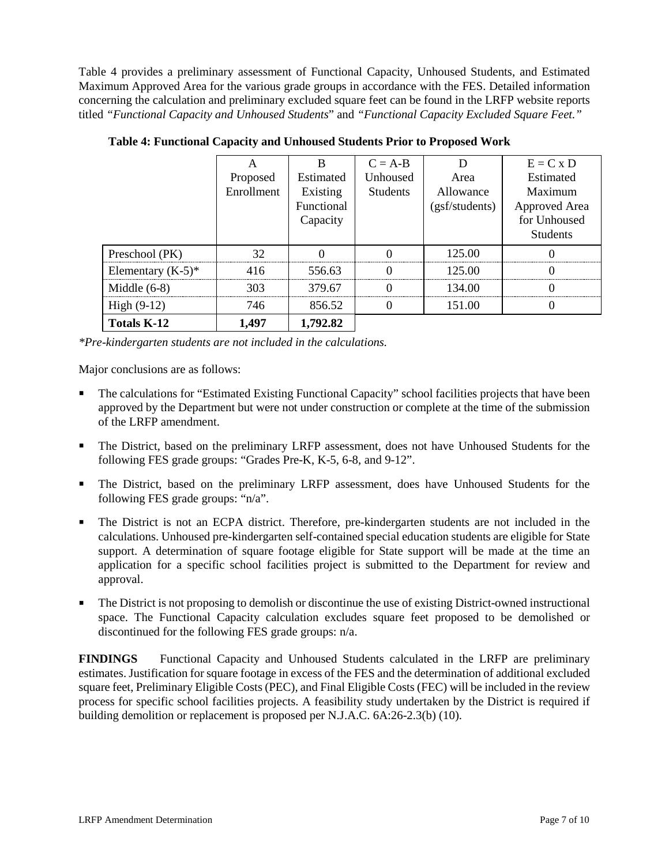Table 4 provides a preliminary assessment of Functional Capacity, Unhoused Students, and Estimated Maximum Approved Area for the various grade groups in accordance with the FES. Detailed information concerning the calculation and preliminary excluded square feet can be found in the LRFP website reports titled *"Functional Capacity and Unhoused Students*" and *"Functional Capacity Excluded Square Feet."*

|                      |            |            | $C = A-B$       |                | $E = C x D$     |
|----------------------|------------|------------|-----------------|----------------|-----------------|
|                      | Proposed   | Estimated  | Unhoused        | Area           | Estimated       |
|                      | Enrollment | Existing   | <b>Students</b> | Allowance      | Maximum         |
|                      |            | Functional |                 | (gsf/students) | Approved Area   |
|                      |            | Capacity   |                 |                | for Unhoused    |
|                      |            |            |                 |                | <b>Students</b> |
| Preschool (PK)       | 32         |            |                 | 125.00         |                 |
| Elementary $(K-5)^*$ | 416        | 556.63     |                 | 125.00         |                 |
| Middle $(6-8)$       | 303        | 379.67     |                 | 134.00         |                 |
| High $(9-12)$        | 746        | 856.52     |                 | 151.00         |                 |
| <b>Totals K-12</b>   | 1,497      | 1,792.82   |                 |                |                 |

**Table 4: Functional Capacity and Unhoused Students Prior to Proposed Work**

*\*Pre-kindergarten students are not included in the calculations.* 

Major conclusions are as follows:

- The calculations for "Estimated Existing Functional Capacity" school facilities projects that have been approved by the Department but were not under construction or complete at the time of the submission of the LRFP amendment.
- The District, based on the preliminary LRFP assessment, does not have Unhoused Students for the following FES grade groups: "Grades Pre-K, K-5, 6-8, and 9-12".
- The District, based on the preliminary LRFP assessment, does have Unhoused Students for the following FES grade groups: "n/a".
- The District is not an ECPA district. Therefore, pre-kindergarten students are not included in the calculations. Unhoused pre-kindergarten self-contained special education students are eligible for State support. A determination of square footage eligible for State support will be made at the time an application for a specific school facilities project is submitted to the Department for review and approval.
- The District is not proposing to demolish or discontinue the use of existing District-owned instructional space. The Functional Capacity calculation excludes square feet proposed to be demolished or discontinued for the following FES grade groups: n/a.

**FINDINGS** Functional Capacity and Unhoused Students calculated in the LRFP are preliminary estimates. Justification for square footage in excess of the FES and the determination of additional excluded square feet, Preliminary Eligible Costs (PEC), and Final Eligible Costs (FEC) will be included in the review process for specific school facilities projects. A feasibility study undertaken by the District is required if building demolition or replacement is proposed per N.J.A.C. 6A:26-2.3(b) (10).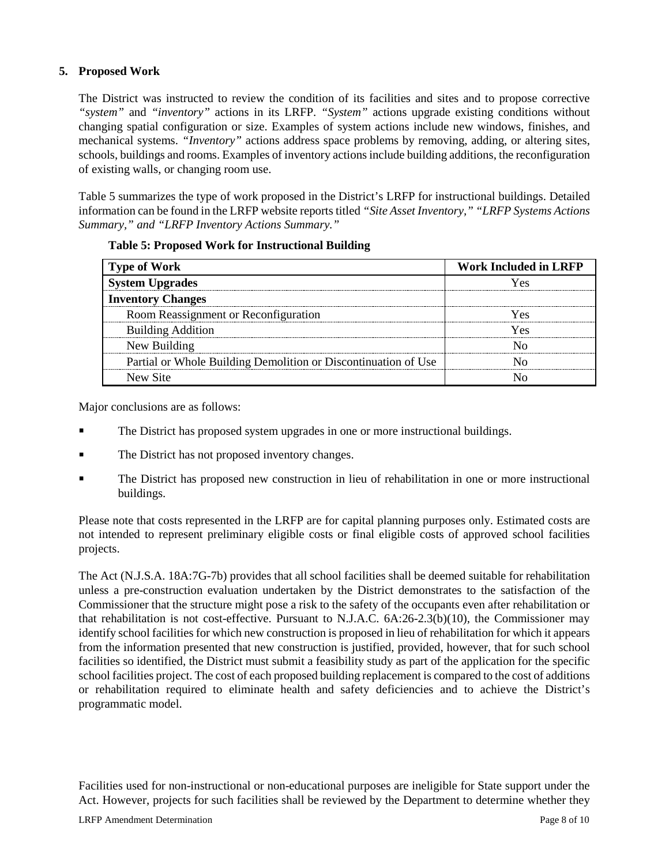# **5. Proposed Work**

The District was instructed to review the condition of its facilities and sites and to propose corrective *"system"* and *"inventory"* actions in its LRFP. *"System"* actions upgrade existing conditions without changing spatial configuration or size. Examples of system actions include new windows, finishes, and mechanical systems. *"Inventory"* actions address space problems by removing, adding, or altering sites, schools, buildings and rooms. Examples of inventory actions include building additions, the reconfiguration of existing walls, or changing room use.

Table 5 summarizes the type of work proposed in the District's LRFP for instructional buildings. Detailed information can be found in the LRFP website reports titled *"Site Asset Inventory," "LRFP Systems Actions Summary," and "LRFP Inventory Actions Summary."* 

| <b>Type of Work</b>                                            | <b>Work Included in LRFP</b> |  |  |
|----------------------------------------------------------------|------------------------------|--|--|
| <b>System Upgrades</b>                                         | r es                         |  |  |
| <b>Inventory Changes</b>                                       |                              |  |  |
| Room Reassignment or Reconfiguration                           |                              |  |  |
| <b>Building Addition</b>                                       | ۷Α۲                          |  |  |
| New Building                                                   |                              |  |  |
| Partial or Whole Building Demolition or Discontinuation of Use |                              |  |  |
| New Site                                                       |                              |  |  |

| <b>Table 5: Proposed Work for Instructional Building</b> |  |  |  |
|----------------------------------------------------------|--|--|--|
|----------------------------------------------------------|--|--|--|

Major conclusions are as follows:

- The District has proposed system upgrades in one or more instructional buildings.
- The District has not proposed inventory changes.
- The District has proposed new construction in lieu of rehabilitation in one or more instructional buildings.

Please note that costs represented in the LRFP are for capital planning purposes only. Estimated costs are not intended to represent preliminary eligible costs or final eligible costs of approved school facilities projects.

The Act (N.J.S.A. 18A:7G-7b) provides that all school facilities shall be deemed suitable for rehabilitation unless a pre-construction evaluation undertaken by the District demonstrates to the satisfaction of the Commissioner that the structure might pose a risk to the safety of the occupants even after rehabilitation or that rehabilitation is not cost-effective. Pursuant to N.J.A.C. 6A:26-2.3(b)(10), the Commissioner may identify school facilities for which new construction is proposed in lieu of rehabilitation for which it appears from the information presented that new construction is justified, provided, however, that for such school facilities so identified, the District must submit a feasibility study as part of the application for the specific school facilities project. The cost of each proposed building replacement is compared to the cost of additions or rehabilitation required to eliminate health and safety deficiencies and to achieve the District's programmatic model.

Facilities used for non-instructional or non-educational purposes are ineligible for State support under the Act. However, projects for such facilities shall be reviewed by the Department to determine whether they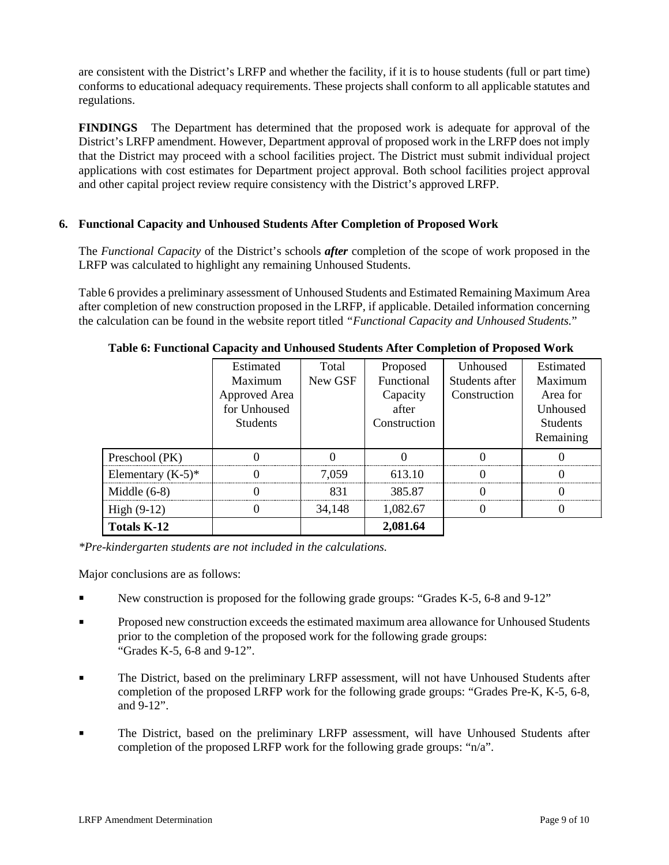are consistent with the District's LRFP and whether the facility, if it is to house students (full or part time) conforms to educational adequacy requirements. These projects shall conform to all applicable statutes and regulations.

**FINDINGS** The Department has determined that the proposed work is adequate for approval of the District's LRFP amendment. However, Department approval of proposed work in the LRFP does not imply that the District may proceed with a school facilities project. The District must submit individual project applications with cost estimates for Department project approval. Both school facilities project approval and other capital project review require consistency with the District's approved LRFP.

# **6. Functional Capacity and Unhoused Students After Completion of Proposed Work**

The *Functional Capacity* of the District's schools *after* completion of the scope of work proposed in the LRFP was calculated to highlight any remaining Unhoused Students.

Table 6 provides a preliminary assessment of Unhoused Students and Estimated Remaining Maximum Area after completion of new construction proposed in the LRFP, if applicable. Detailed information concerning the calculation can be found in the website report titled *"Functional Capacity and Unhoused Students.*"

|                      | Estimated       | Total   | Proposed     | Unhoused       | Estimated       |
|----------------------|-----------------|---------|--------------|----------------|-----------------|
|                      | Maximum         | New GSF | Functional   | Students after | Maximum         |
|                      | Approved Area   |         | Capacity     | Construction   | Area for        |
|                      | for Unhoused    |         | after        |                | Unhoused        |
|                      | <b>Students</b> |         | Construction |                | <b>Students</b> |
|                      |                 |         |              |                | Remaining       |
| Preschool (PK)       |                 |         |              |                |                 |
| Elementary $(K-5)^*$ |                 | 7.059   | 613.10       |                |                 |
| Middle $(6-8)$       |                 | 831     | 385.87       |                |                 |
| High $(9-12)$        |                 | 34,148  | 1,082.67     |                |                 |
| <b>Totals K-12</b>   |                 |         | 2,081.64     |                |                 |

**Table 6: Functional Capacity and Unhoused Students After Completion of Proposed Work**

*\*Pre-kindergarten students are not included in the calculations.*

Major conclusions are as follows:

- New construction is proposed for the following grade groups: "Grades K-5, 6-8 and 9-12"
- **Proposed new construction exceeds the estimated maximum area allowance for Unhoused Students** prior to the completion of the proposed work for the following grade groups: "Grades K-5, 6-8 and 9-12".
- The District, based on the preliminary LRFP assessment, will not have Unhoused Students after completion of the proposed LRFP work for the following grade groups: "Grades Pre-K, K-5, 6-8, and 9-12".
- The District, based on the preliminary LRFP assessment, will have Unhoused Students after completion of the proposed LRFP work for the following grade groups: "n/a".